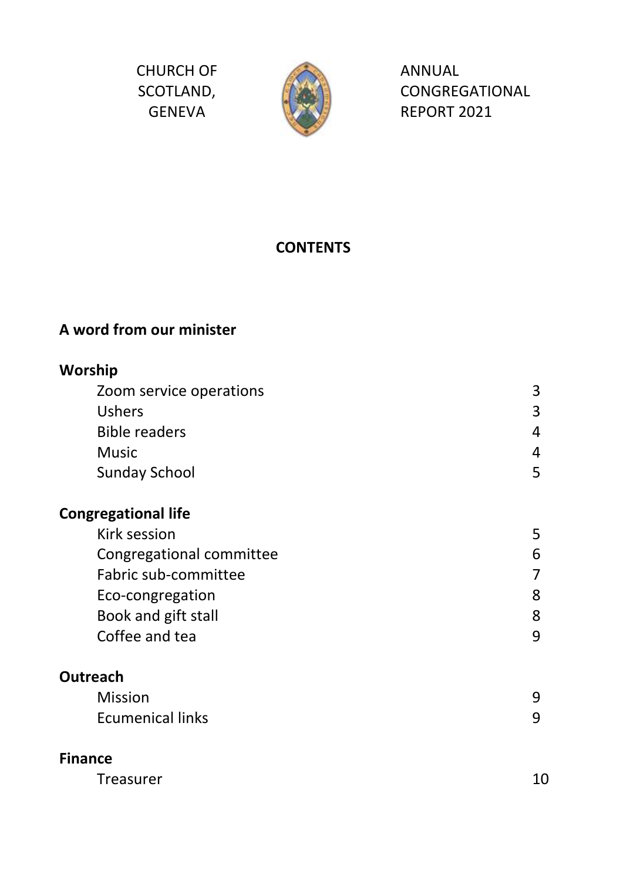CHURCH OF SCOTLAND, GENEVA



ANNUAL CONGREGATIONAL REPORT 2021

# **CONTENTS**

# **A word from our minister**

# **Worship** Zoom service operations 3 Ushers 3 Bible readers 4 Music **Automatic Activity of Automatic Activity** Automatic Activity Automatic Activity Automatic Activity Automatic Activity Automatic Activity Automatic Activity Automatic Activity Automatic Activity Automatic Activity Au Sunday School 5 and 5 and 5 and 5 and 5 and 5 and 5 and 5 and 5 and 5 and 5 and 5 and 5 and 5 and 5 and 5 and 5 and 5 and 5 and 5 and 5 and 5 and 5 and 5 and 5 and 5 and 5 and 5 and 5 and 5 and 5 and 5 and 5 and 5 and 5 an **Congregational life** Kirk session 5 Congregational committee 6 Fabric sub-committee 7 Eco-congregation 8 Book and gift stall and state of the state of the state of the state of the state of the state of the state of the state of the state of the state of the state of the state of the state of the state of the state of the sta Coffee and tea 9 **Outreach** Mission 9 Ecumenical links 9 **Finance**

| Treasurer | 10 |
|-----------|----|
|-----------|----|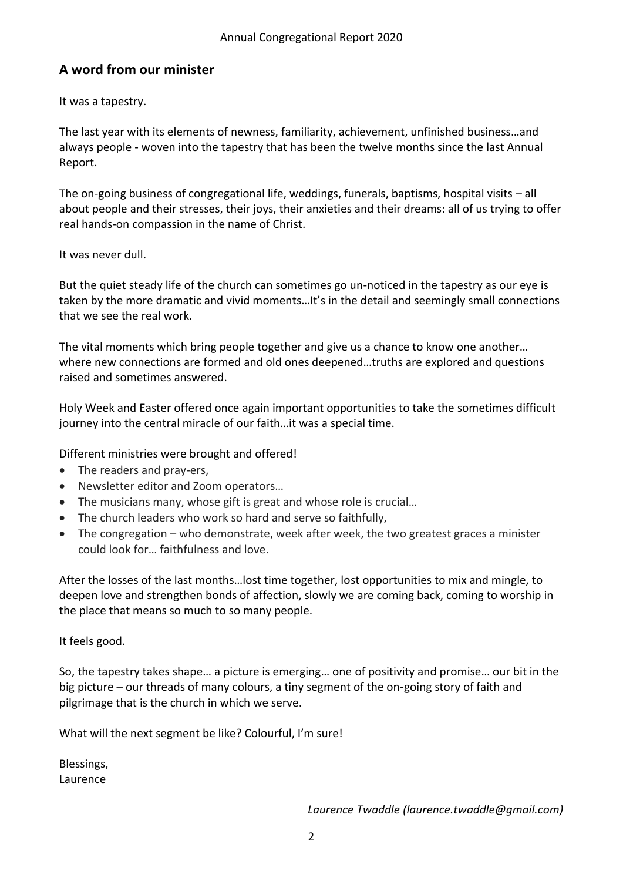# **A word from our minister**

It was a tapestry.

The last year with its elements of newness, familiarity, achievement, unfinished business…and always people - woven into the tapestry that has been the twelve months since the last Annual Report.

The on-going business of congregational life, weddings, funerals, baptisms, hospital visits – all about people and their stresses, their joys, their anxieties and their dreams: all of us trying to offer real hands-on compassion in the name of Christ.

# It was never dull.

But the quiet steady life of the church can sometimes go un-noticed in the tapestry as our eye is taken by the more dramatic and vivid moments…It's in the detail and seemingly small connections that we see the real work.

The vital moments which bring people together and give us a chance to know one another… where new connections are formed and old ones deepened…truths are explored and questions raised and sometimes answered.

Holy Week and Easter offered once again important opportunities to take the sometimes difficult journey into the central miracle of our faith…it was a special time.

Different ministries were brought and offered!

- The readers and pray-ers,
- Newsletter editor and Zoom operators…
- The musicians many, whose gift is great and whose role is crucial…
- The church leaders who work so hard and serve so faithfully,
- The congregation who demonstrate, week after week, the two greatest graces a minister could look for… faithfulness and love.

After the losses of the last months…lost time together, lost opportunities to mix and mingle, to deepen love and strengthen bonds of affection, slowly we are coming back, coming to worship in the place that means so much to so many people.

It feels good.

So, the tapestry takes shape… a picture is emerging… one of positivity and promise… our bit in the big picture – our threads of many colours, a tiny segment of the on-going story of faith and pilgrimage that is the church in which we serve.

What will the next segment be like? Colourful, I'm sure!

Blessings, Laurence

*Laurence Twaddle (laurence.twaddle@gmail.com)*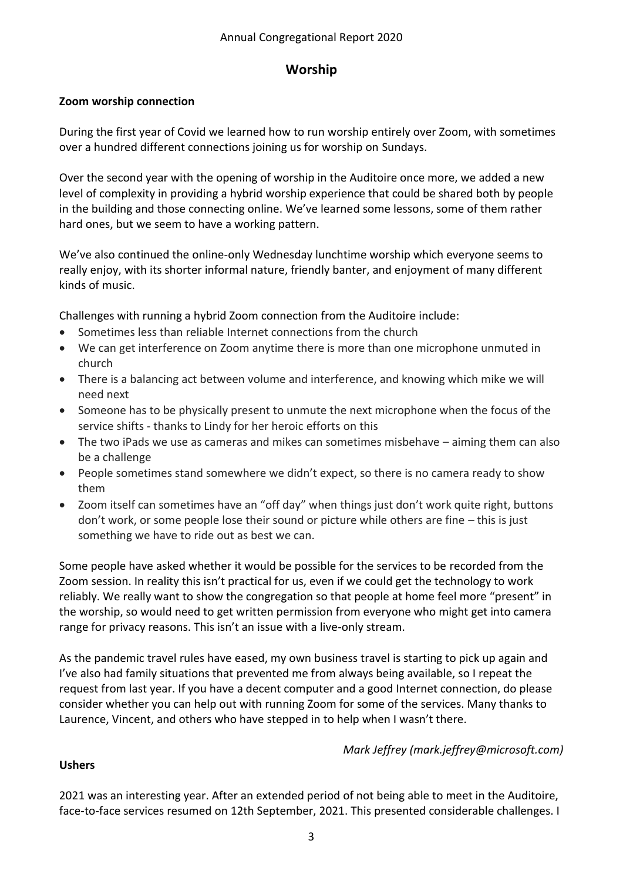# **Worship**

# **Zoom worship connection**

During the first year of Covid we learned how to run worship entirely over Zoom, with sometimes over a hundred different connections joining us for worship on Sundays.

Over the second year with the opening of worship in the Auditoire once more, we added a new level of complexity in providing a hybrid worship experience that could be shared both by people in the building and those connecting online. We've learned some lessons, some of them rather hard ones, but we seem to have a working pattern.

We've also continued the online-only Wednesday lunchtime worship which everyone seems to really enjoy, with its shorter informal nature, friendly banter, and enjoyment of many different kinds of music.

Challenges with running a hybrid Zoom connection from the Auditoire include:

- Sometimes less than reliable Internet connections from the church
- We can get interference on Zoom anytime there is more than one microphone unmuted in church
- There is a balancing act between volume and interference, and knowing which mike we will need next
- Someone has to be physically present to unmute the next microphone when the focus of the service shifts - thanks to Lindy for her heroic efforts on this
- The two iPads we use as cameras and mikes can sometimes misbehave aiming them can also be a challenge
- People sometimes stand somewhere we didn't expect, so there is no camera ready to show them
- Zoom itself can sometimes have an "off day" when things just don't work quite right, buttons don't work, or some people lose their sound or picture while others are fine – this is just something we have to ride out as best we can.

Some people have asked whether it would be possible for the services to be recorded from the Zoom session. In reality this isn't practical for us, even if we could get the technology to work reliably. We really want to show the congregation so that people at home feel more "present" in the worship, so would need to get written permission from everyone who might get into camera range for privacy reasons. This isn't an issue with a live-only stream.

As the pandemic travel rules have eased, my own business travel is starting to pick up again and I've also had family situations that prevented me from always being available, so I repeat the request from last year. If you have a decent computer and a good Internet connection, do please consider whether you can help out with running Zoom for some of the services. Many thanks to Laurence, Vincent, and others who have stepped in to help when I wasn't there.

# *Mark Jeffrey (mark.jeffrey@microsoft.com)*

#### **Ushers**

2021 was an interesting year. After an extended period of not being able to meet in the Auditoire, face-to-face services resumed on 12th September, 2021. This presented considerable challenges. I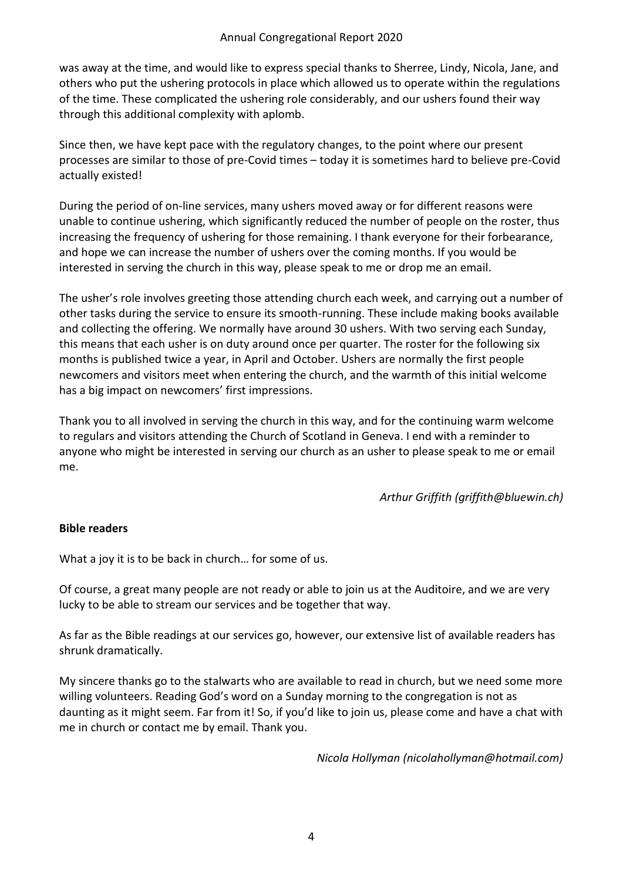was away at the time, and would like to express special thanks to Sherree, Lindy, Nicola, Jane, and others who put the ushering protocols in place which allowed us to operate within the regulations of the time. These complicated the ushering role considerably, and our ushers found their way through this additional complexity with aplomb.

Since then, we have kept pace with the regulatory changes, to the point where our present processes are similar to those of pre-Covid times – today it is sometimes hard to believe pre-Covid actually existed!

During the period of on-line services, many ushers moved away or for different reasons were unable to continue ushering, which significantly reduced the number of people on the roster, thus increasing the frequency of ushering for those remaining. I thank everyone for their forbearance, and hope we can increase the number of ushers over the coming months. If you would be interested in serving the church in this way, please speak to me or drop me an email.

The usher's role involves greeting those attending church each week, and carrying out a number of other tasks during the service to ensure its smooth-running. These include making books available and collecting the offering. We normally have around 30 ushers. With two serving each Sunday, this means that each usher is on duty around once per quarter. The roster for the following six months is published twice a year, in April and October. Ushers are normally the first people newcomers and visitors meet when entering the church, and the warmth of this initial welcome has a big impact on newcomers' first impressions.

Thank you to all involved in serving the church in this way, and for the continuing warm welcome to regulars and visitors attending the Church of Scotland in Geneva. I end with a reminder to anyone who might be interested in serving our church as an usher to please speak to me or email me.

*Arthur Griffith (griffith@bluewin.ch)*

#### **Bible readers**

What a joy it is to be back in church… for some of us.

Of course, a great many people are not ready or able to join us at the Auditoire, and we are very lucky to be able to stream our services and be together that way.

As far as the Bible readings at our services go, however, our extensive list of available readers has shrunk dramatically.

My sincere thanks go to the stalwarts who are available to read in church, but we need some more willing volunteers. Reading God's word on a Sunday morning to the congregation is not as daunting as it might seem. Far from it! So, if you'd like to join us, please come and have a chat with me in church or contact me by email. Thank you.

*Nicola Hollyman (nicolahollyman@hotmail.com)*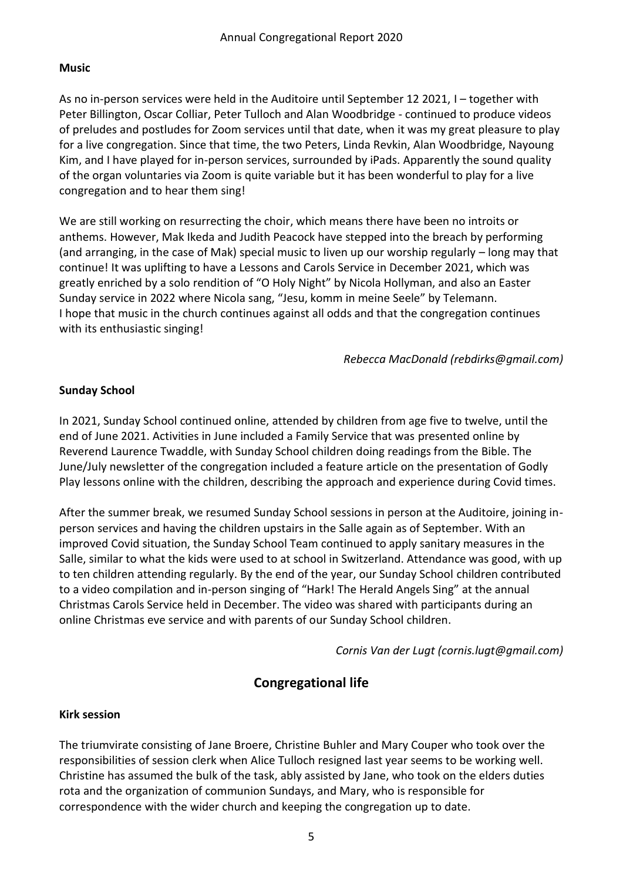#### **Music**

As no in-person services were held in the Auditoire until September 12 2021, I – together with Peter Billington, Oscar Colliar, Peter Tulloch and Alan Woodbridge - continued to produce videos of preludes and postludes for Zoom services until that date, when it was my great pleasure to play for a live congregation. Since that time, the two Peters, Linda Revkin, Alan Woodbridge, Nayoung Kim, and I have played for in-person services, surrounded by iPads. Apparently the sound quality of the organ voluntaries via Zoom is quite variable but it has been wonderful to play for a live congregation and to hear them sing!

We are still working on resurrecting the choir, which means there have been no introits or anthems. However, Mak Ikeda and Judith Peacock have stepped into the breach by performing (and arranging, in the case of Mak) special music to liven up our worship regularly – long may that continue! It was uplifting to have a Lessons and Carols Service in December 2021, which was greatly enriched by a solo rendition of "O Holy Night" by Nicola Hollyman, and also an Easter Sunday service in 2022 where Nicola sang, "Jesu, komm in meine Seele" by Telemann. I hope that music in the church continues against all odds and that the congregation continues with its enthusiastic singing!

*Rebecca MacDonald (rebdirks@gmail.com)*

#### **Sunday School**

In 2021, Sunday School continued online, attended by children from age five to twelve, until the end of June 2021. Activities in June included a Family Service that was presented online by Reverend Laurence Twaddle, with Sunday School children doing readings from the Bible. The June/July newsletter of the congregation included a feature article on the presentation of Godly Play lessons online with the children, describing the approach and experience during Covid times.

After the summer break, we resumed Sunday School sessions in person at the Auditoire, joining inperson services and having the children upstairs in the Salle again as of September. With an improved Covid situation, the Sunday School Team continued to apply sanitary measures in the Salle, similar to what the kids were used to at school in Switzerland. Attendance was good, with up to ten children attending regularly. By the end of the year, our Sunday School children contributed to a video compilation and in-person singing of "Hark! The Herald Angels Sing" at the annual Christmas Carols Service held in December. The video was shared with participants during an online Christmas eve service and with parents of our Sunday School children.

*Cornis Van der Lugt (cornis.lugt@gmail.com)*

# **Congregational life**

#### **Kirk session**

The triumvirate consisting of Jane Broere, Christine Buhler and Mary Couper who took over the responsibilities of session clerk when Alice Tulloch resigned last year seems to be working well. Christine has assumed the bulk of the task, ably assisted by Jane, who took on the elders duties rota and the organization of communion Sundays, and Mary, who is responsible for correspondence with the wider church and keeping the congregation up to date.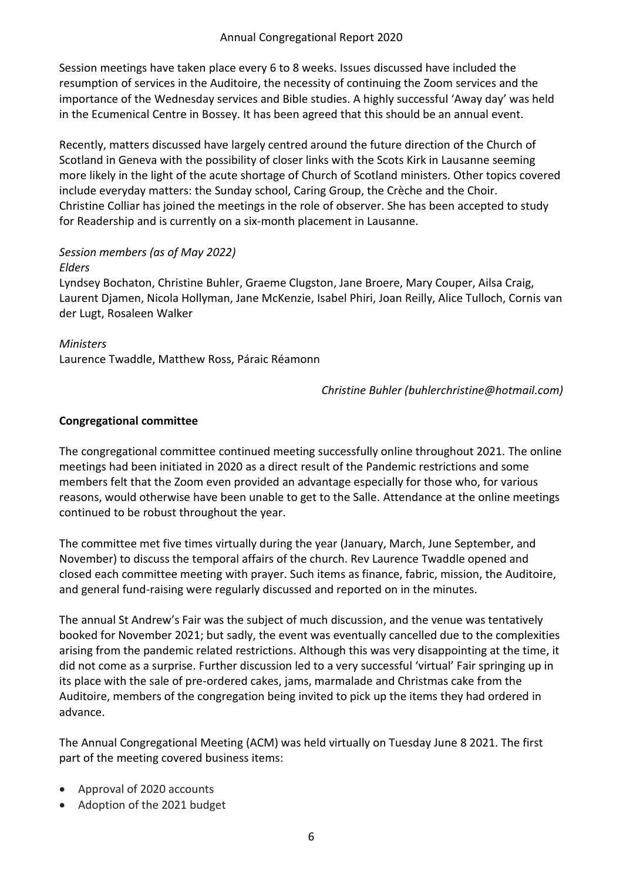Session meetings have taken place every 6 to 8 weeks. Issues discussed have included the resumption of services in the Auditoire, the necessity of continuing the Zoom services and the importance of the Wednesday services and Bible studies. A highly successful 'Away day' was held in the Ecumenical Centre in Bossey. It has been agreed that this should be an annual event.

Recently, matters discussed have largely centred around the future direction of the Church of Scotland in Geneva with the possibility of closer links with the Scots Kirk in Lausanne seeming more likely in the light of the acute shortage of Church of Scotland ministers. Other topics covered include everyday matters: the Sunday school, Caring Group, the Crèche and the Choir. Christine Colliar has joined the meetings in the role of observer. She has been accepted to study for Readership and is currently on a six-month placement in Lausanne.

#### *Session members (as of May 2022) Elders*

Lyndsey Bochaton, Christine Buhler, Graeme Clugston, Jane Broere, Mary Couper, Ailsa Craig, Laurent Djamen, Nicola Hollyman, Jane McKenzie, Isabel Phiri, Joan Reilly, Alice Tulloch, Cornis van der Lugt, Rosaleen Walker

# *Ministers*

Laurence Twaddle, Matthew Ross, Páraic Réamonn

*Christine Buhler (buhlerchristine@hotmail.com)*

#### **Congregational committee**

The congregational committee continued meeting successfully online throughout 2021. The online meetings had been initiated in 2020 as a direct result of the Pandemic restrictions and some members felt that the Zoom even provided an advantage especially for those who, for various reasons, would otherwise have been unable to get to the Salle. Attendance at the online meetings continued to be robust throughout the year.

The committee met five times virtually during the year (January, March, June September, and November) to discuss the temporal affairs of the church. Rev Laurence Twaddle opened and closed each committee meeting with prayer. Such items as finance, fabric, mission, the Auditoire, and general fund-raising were regularly discussed and reported on in the minutes.

The annual St Andrew's Fair was the subject of much discussion, and the venue was tentatively booked for November 2021; but sadly, the event was eventually cancelled due to the complexities arising from the pandemic related restrictions. Although this was very disappointing at the time, it did not come as a surprise. Further discussion led to a very successful 'virtual' Fair springing up in its place with the sale of pre-ordered cakes, jams, marmalade and Christmas cake from the Auditoire, members of the congregation being invited to pick up the items they had ordered in advance.

The Annual Congregational Meeting (ACM) was held virtually on Tuesday June 8 2021. The first part of the meeting covered business items:

- Approval of 2020 accounts
- Adoption of the 2021 budget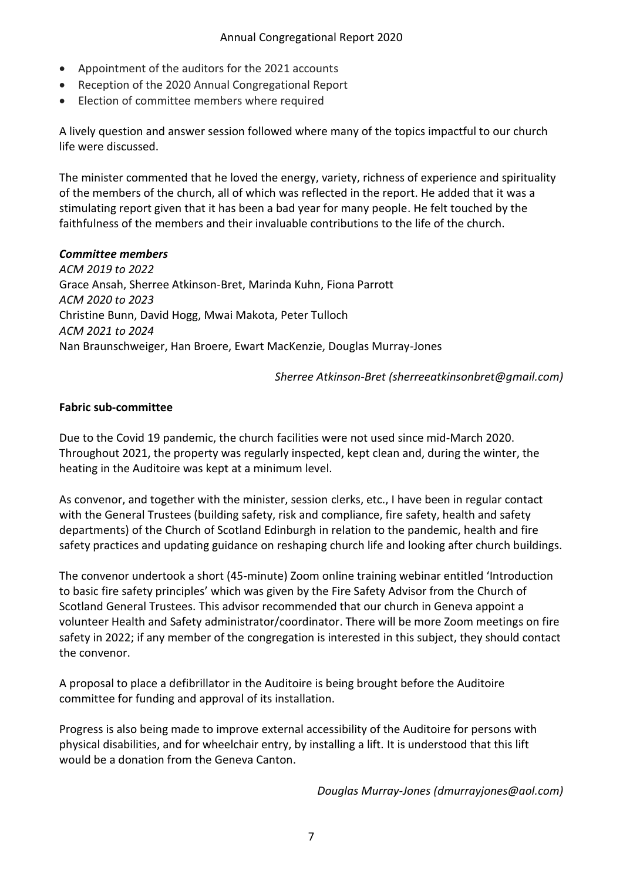- Appointment of the auditors for the 2021 accounts
- Reception of the 2020 Annual Congregational Report
- Election of committee members where required

A lively question and answer session followed where many of the topics impactful to our church life were discussed.

The minister commented that he loved the energy, variety, richness of experience and spirituality of the members of the church, all of which was reflected in the report. He added that it was a stimulating report given that it has been a bad year for many people. He felt touched by the faithfulness of the members and their invaluable contributions to the life of the church.

#### *Committee members*

*ACM 2019 to 2022* Grace Ansah, Sherree Atkinson-Bret, Marinda Kuhn, Fiona Parrott *ACM 2020 to 2023* Christine Bunn, David Hogg, Mwai Makota, Peter Tulloch *ACM 2021 to 2024* Nan Braunschweiger, Han Broere, Ewart MacKenzie, Douglas Murray-Jones

*Sherree Atkinson-Bret (sherreeatkinsonbret@gmail.com)*

#### **Fabric sub-committee**

Due to the Covid 19 pandemic, the church facilities were not used since mid-March 2020. Throughout 2021, the property was regularly inspected, kept clean and, during the winter, the heating in the Auditoire was kept at a minimum level.

As convenor, and together with the minister, session clerks, etc., I have been in regular contact with the General Trustees (building safety, risk and compliance, fire safety, health and safety departments) of the Church of Scotland Edinburgh in relation to the pandemic, health and fire safety practices and updating guidance on reshaping church life and looking after church buildings.

The convenor undertook a short (45-minute) Zoom online training webinar entitled 'Introduction to basic fire safety principles' which was given by the Fire Safety Advisor from the Church of Scotland General Trustees. This advisor recommended that our church in Geneva appoint a volunteer Health and Safety administrator/coordinator. There will be more Zoom meetings on fire safety in 2022; if any member of the congregation is interested in this subject, they should contact the convenor.

A proposal to place a defibrillator in the Auditoire is being brought before the Auditoire committee for funding and approval of its installation.

Progress is also being made to improve external accessibility of the Auditoire for persons with physical disabilities, and for wheelchair entry, by installing a lift. It is understood that this lift would be a donation from the Geneva Canton.

*Douglas Murray-Jones (dmurrayjones@aol.com)*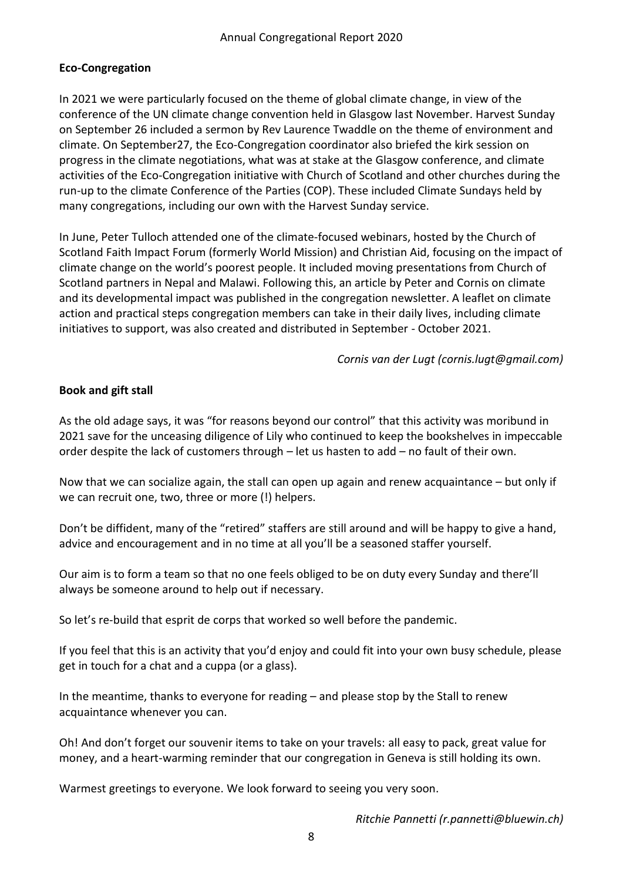# **Eco-Congregation**

In 2021 we were particularly focused on the theme of global climate change, in view of the conference of the UN climate change convention held in Glasgow last November. Harvest Sunday on September 26 included a sermon by Rev Laurence Twaddle on the theme of environment and climate. On September27, the Eco-Congregation coordinator also briefed the kirk session on progress in the climate negotiations, what was at stake at the Glasgow conference, and climate activities of the Eco-Congregation initiative with Church of Scotland and other churches during the run-up to the climate Conference of the Parties (COP). These included Climate Sundays held by many congregations, including our own with the Harvest Sunday service.

In June, Peter Tulloch attended one of the climate-focused webinars, hosted by the Church of Scotland Faith Impact Forum (formerly World Mission) and Christian Aid, focusing on the impact of climate change on the world's poorest people. It included moving presentations from Church of Scotland partners in Nepal and Malawi. Following this, an article by Peter and Cornis on climate and its developmental impact was published in the congregation newsletter. A leaflet on climate action and practical steps congregation members can take in their daily lives, including climate initiatives to support, was also created and distributed in September - October 2021.

*Cornis van der Lugt (cornis.lugt@gmail.com)*

# **Book and gift stall**

As the old adage says, it was "for reasons beyond our control" that this activity was moribund in 2021 save for the unceasing diligence of Lily who continued to keep the bookshelves in impeccable order despite the lack of customers through – let us hasten to add – no fault of their own.

Now that we can socialize again, the stall can open up again and renew acquaintance – but only if we can recruit one, two, three or more (!) helpers.

Don't be diffident, many of the "retired" staffers are still around and will be happy to give a hand, advice and encouragement and in no time at all you'll be a seasoned staffer yourself.

Our aim is to form a team so that no one feels obliged to be on duty every Sunday and there'll always be someone around to help out if necessary.

So let's re-build that esprit de corps that worked so well before the pandemic.

If you feel that this is an activity that you'd enjoy and could fit into your own busy schedule, please get in touch for a chat and a cuppa (or a glass).

In the meantime, thanks to everyone for reading – and please stop by the Stall to renew acquaintance whenever you can.

Oh! And don't forget our souvenir items to take on your travels: all easy to pack, great value for money, and a heart-warming reminder that our congregation in Geneva is still holding its own.

Warmest greetings to everyone. We look forward to seeing you very soon.

*Ritchie Pannetti (r.pannetti@bluewin.ch)*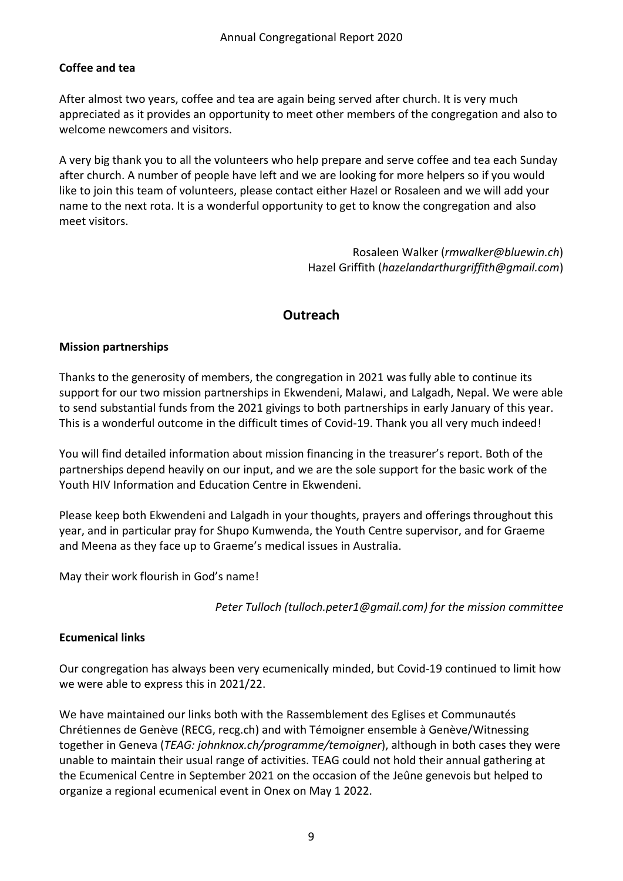# **Coffee and tea**

After almost two years, coffee and tea are again being served after church. It is very much appreciated as it provides an opportunity to meet other members of the congregation and also to welcome newcomers and visitors.

A very big thank you to all the volunteers who help prepare and serve coffee and tea each Sunday after church. A number of people have left and we are looking for more helpers so if you would like to join this team of volunteers, please contact either Hazel or Rosaleen and we will add your name to the next rota. It is a wonderful opportunity to get to know the congregation and also meet visitors.

> Rosaleen Walker (*rmwalker@bluewin.ch*) Hazel Griffith (*hazelandarthurgriffith@gmail.com*)

# **Outreach**

# **Mission partnerships**

Thanks to the generosity of members, the congregation in 2021 was fully able to continue its support for our two mission partnerships in Ekwendeni, Malawi, and Lalgadh, Nepal. We were able to send substantial funds from the 2021 givings to both partnerships in early January of this year. This is a wonderful outcome in the difficult times of Covid-19. Thank you all very much indeed!

You will find detailed information about mission financing in the treasurer's report. Both of the partnerships depend heavily on our input, and we are the sole support for the basic work of the Youth HIV Information and Education Centre in Ekwendeni.

Please keep both Ekwendeni and Lalgadh in your thoughts, prayers and offerings throughout this year, and in particular pray for Shupo Kumwenda, the Youth Centre supervisor, and for Graeme and Meena as they face up to Graeme's medical issues in Australia.

May their work flourish in God's name!

*Peter Tulloch (tulloch.peter1@gmail.com) for the mission committee*

# **Ecumenical links**

Our congregation has always been very ecumenically minded, but Covid-19 continued to limit how we were able to express this in 2021/22.

We have maintained our links both with the Rassemblement des Eglises et Communautés Chrétiennes de Genève (RECG, recg.ch) and with Témoigner ensemble à Genève/Witnessing together in Geneva (*TEAG: johnknox.ch/programme/temoigner*), although in both cases they were unable to maintain their usual range of activities. TEAG could not hold their annual gathering at the Ecumenical Centre in September 2021 on the occasion of the Jeûne genevois but helped to organize a regional ecumenical event in Onex on May 1 2022.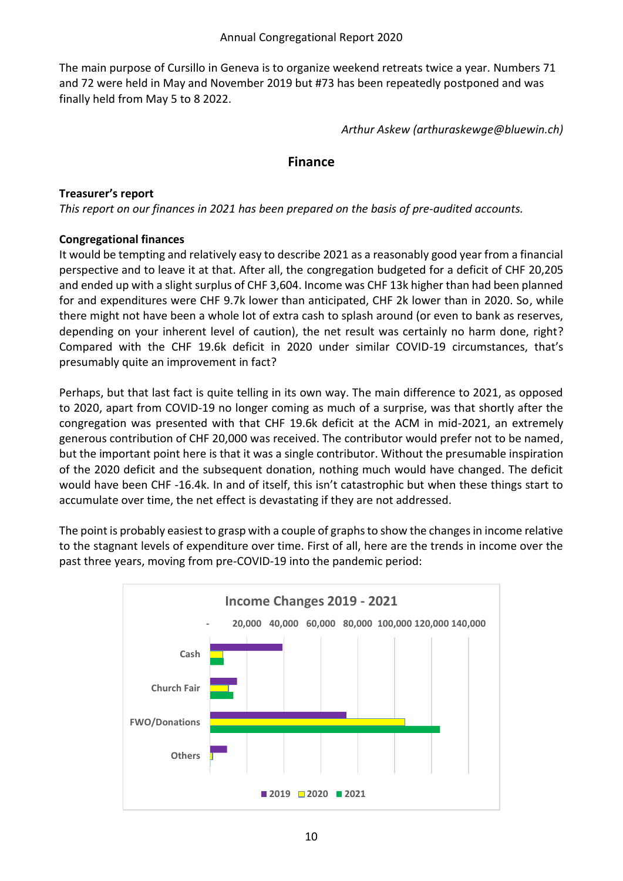The main purpose of Cursillo in Geneva is to organize weekend retreats twice a year. Numbers 71 and 72 were held in May and November 2019 but #73 has been repeatedly postponed and was finally held from May 5 to 8 2022.

*Arthur Askew (arthuraskewge@bluewin.ch)*

#### **Finance**

#### **Treasurer's report**

*This report on our finances in 2021 has been prepared on the basis of pre-audited accounts.*

# **Congregational finances**

It would be tempting and relatively easy to describe 2021 as a reasonably good year from a financial perspective and to leave it at that. After all, the congregation budgeted for a deficit of CHF 20,205 and ended up with a slight surplus of CHF 3,604. Income was CHF 13k higher than had been planned for and expenditures were CHF 9.7k lower than anticipated, CHF 2k lower than in 2020. So, while there might not have been a whole lot of extra cash to splash around (or even to bank as reserves, depending on your inherent level of caution), the net result was certainly no harm done, right? Compared with the CHF 19.6k deficit in 2020 under similar COVID-19 circumstances, that's presumably quite an improvement in fact?

Perhaps, but that last fact is quite telling in its own way. The main difference to 2021, as opposed to 2020, apart from COVID-19 no longer coming as much of a surprise, was that shortly after the congregation was presented with that CHF 19.6k deficit at the ACM in mid-2021, an extremely generous contribution of CHF 20,000 was received. The contributor would prefer not to be named, but the important point here is that it was a single contributor. Without the presumable inspiration of the 2020 deficit and the subsequent donation, nothing much would have changed. The deficit would have been CHF -16.4k. In and of itself, this isn't catastrophic but when these things start to accumulate over time, the net effect is devastating if they are not addressed.

The point is probably easiest to grasp with a couple of graphs to show the changes in income relative to the stagnant levels of expenditure over time. First of all, here are the trends in income over the past three years, moving from pre-COVID-19 into the pandemic period:

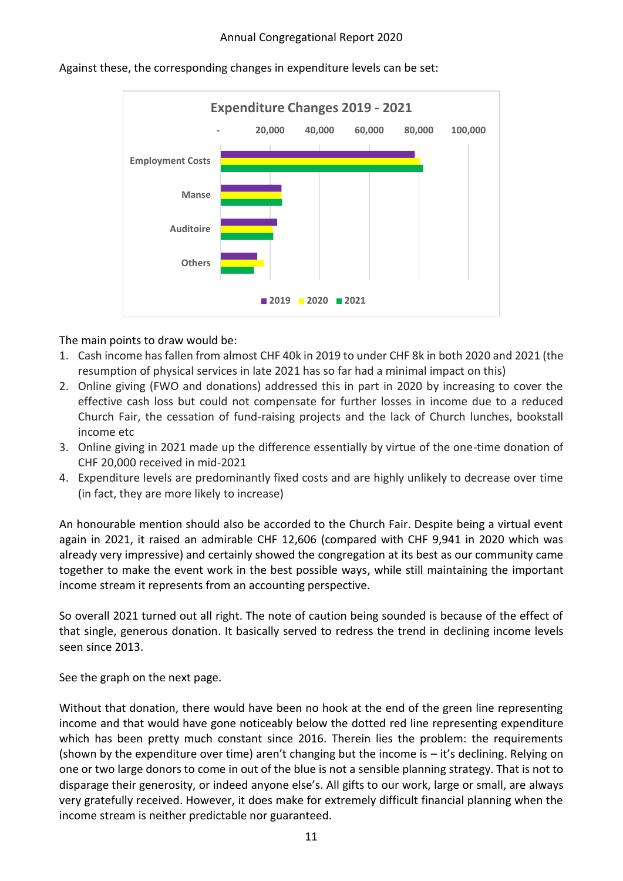

Against these, the corresponding changes in expenditure levels can be set:

The main points to draw would be:

- 1. Cash income has fallen from almost CHF 40k in 2019 to under CHF 8k in both 2020 and 2021 (the resumption of physical services in late 2021 has so far had a minimal impact on this)
- 2. Online giving (FWO and donations) addressed this in part in 2020 by increasing to cover the effective cash loss but could not compensate for further losses in income due to a reduced Church Fair, the cessation of fund-raising projects and the lack of Church lunches, bookstall income etc
- 3. Online giving in 2021 made up the difference essentially by virtue of the one-time donation of CHF 20,000 received in mid-2021
- 4. Expenditure levels are predominantly fixed costs and are highly unlikely to decrease over time (in fact, they are more likely to increase)

An honourable mention should also be accorded to the Church Fair. Despite being a virtual event again in 2021, it raised an admirable CHF 12,606 (compared with CHF 9,941 in 2020 which was already very impressive) and certainly showed the congregation at its best as our community came together to make the event work in the best possible ways, while still maintaining the important income stream it represents from an accounting perspective.

So overall 2021 turned out all right. The note of caution being sounded is because of the effect of that single, generous donation. It basically served to redress the trend in declining income levels seen since 2013.

See the graph on the next page.

Without that donation, there would have been no hook at the end of the green line representing income and that would have gone noticeably below the dotted red line representing expenditure which has been pretty much constant since 2016. Therein lies the problem: the requirements (shown by the expenditure over time) aren't changing but the income is – it's declining. Relying on one or two large donors to come in out of the blue is not a sensible planning strategy. That is not to disparage their generosity, or indeed anyone else's. All gifts to our work, large or small, are always very gratefully received. However, it does make for extremely difficult financial planning when the income stream is neither predictable nor guaranteed.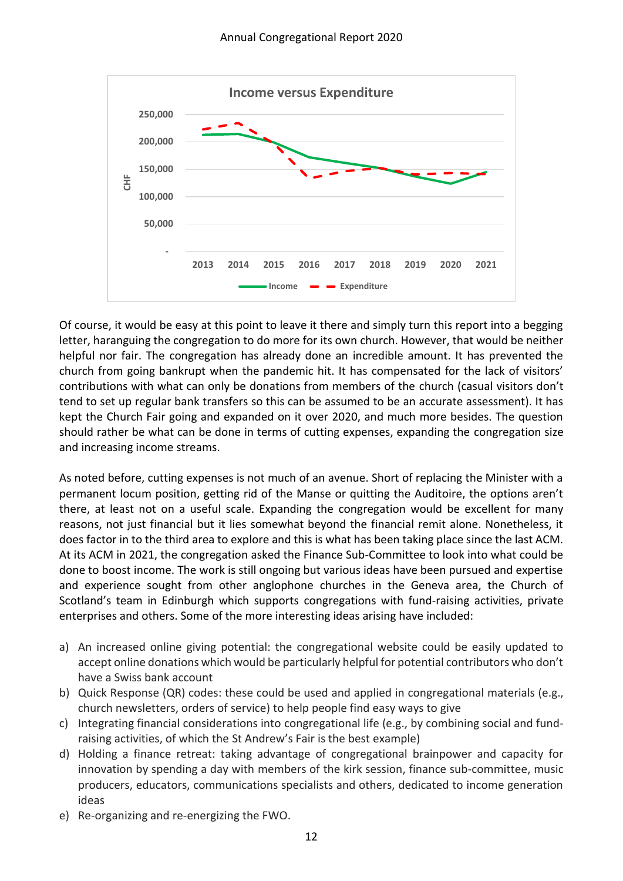

Of course, it would be easy at this point to leave it there and simply turn this report into a begging letter, haranguing the congregation to do more for its own church. However, that would be neither helpful nor fair. The congregation has already done an incredible amount. It has prevented the church from going bankrupt when the pandemic hit. It has compensated for the lack of visitors' contributions with what can only be donations from members of the church (casual visitors don't tend to set up regular bank transfers so this can be assumed to be an accurate assessment). It has kept the Church Fair going and expanded on it over 2020, and much more besides. The question should rather be what can be done in terms of cutting expenses, expanding the congregation size and increasing income streams.

As noted before, cutting expenses is not much of an avenue. Short of replacing the Minister with a permanent locum position, getting rid of the Manse or quitting the Auditoire, the options aren't there, at least not on a useful scale. Expanding the congregation would be excellent for many reasons, not just financial but it lies somewhat beyond the financial remit alone. Nonetheless, it does factor in to the third area to explore and this is what has been taking place since the last ACM. At its ACM in 2021, the congregation asked the Finance Sub-Committee to look into what could be done to boost income. The work is still ongoing but various ideas have been pursued and expertise and experience sought from other anglophone churches in the Geneva area, the Church of Scotland's team in Edinburgh which supports congregations with fund-raising activities, private enterprises and others. Some of the more interesting ideas arising have included:

- a) An increased online giving potential: the congregational website could be easily updated to accept online donations which would be particularly helpful for potential contributors who don't have a Swiss bank account
- b) Quick Response (QR) codes: these could be used and applied in congregational materials (e.g., church newsletters, orders of service) to help people find easy ways to give
- c) Integrating financial considerations into congregational life (e.g., by combining social and fundraising activities, of which the St Andrew's Fair is the best example)
- d) Holding a finance retreat: taking advantage of congregational brainpower and capacity for innovation by spending a day with members of the kirk session, finance sub-committee, music producers, educators, communications specialists and others, dedicated to income generation ideas
- e) Re-organizing and re-energizing the FWO.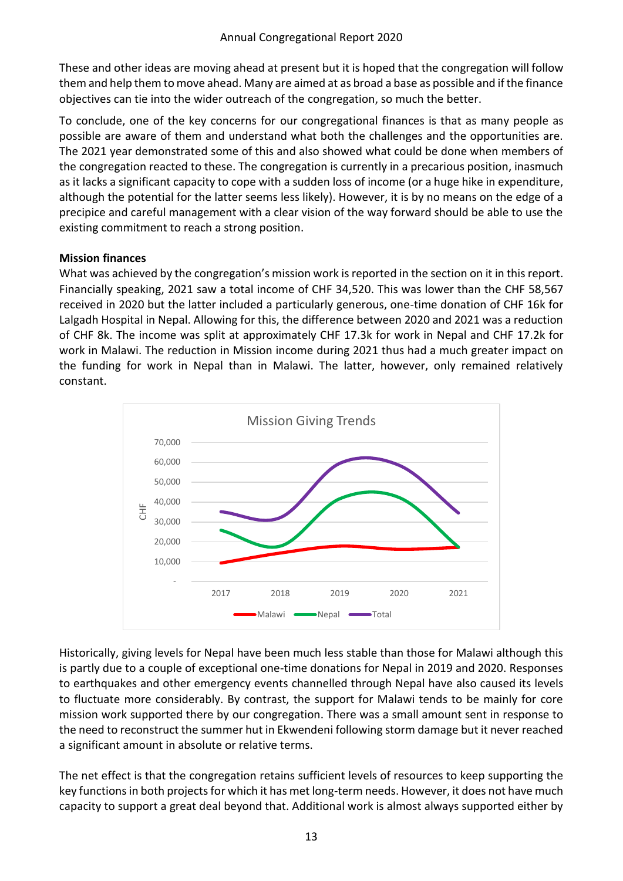These and other ideas are moving ahead at present but it is hoped that the congregation will follow them and help them to move ahead. Many are aimed at as broad a base as possible and if the finance objectives can tie into the wider outreach of the congregation, so much the better.

To conclude, one of the key concerns for our congregational finances is that as many people as possible are aware of them and understand what both the challenges and the opportunities are. The 2021 year demonstrated some of this and also showed what could be done when members of the congregation reacted to these. The congregation is currently in a precarious position, inasmuch as it lacks a significant capacity to cope with a sudden loss of income (or a huge hike in expenditure, although the potential for the latter seems less likely). However, it is by no means on the edge of a precipice and careful management with a clear vision of the way forward should be able to use the existing commitment to reach a strong position.

# **Mission finances**

What was achieved by the congregation's mission work is reported in the section on it in this report. Financially speaking, 2021 saw a total income of CHF 34,520. This was lower than the CHF 58,567 received in 2020 but the latter included a particularly generous, one-time donation of CHF 16k for Lalgadh Hospital in Nepal. Allowing for this, the difference between 2020 and 2021 was a reduction of CHF 8k. The income was split at approximately CHF 17.3k for work in Nepal and CHF 17.2k for work in Malawi. The reduction in Mission income during 2021 thus had a much greater impact on the funding for work in Nepal than in Malawi. The latter, however, only remained relatively constant.



Historically, giving levels for Nepal have been much less stable than those for Malawi although this is partly due to a couple of exceptional one-time donations for Nepal in 2019 and 2020. Responses to earthquakes and other emergency events channelled through Nepal have also caused its levels to fluctuate more considerably. By contrast, the support for Malawi tends to be mainly for core mission work supported there by our congregation. There was a small amount sent in response to the need to reconstruct the summer hut in Ekwendeni following storm damage but it never reached a significant amount in absolute or relative terms.

The net effect is that the congregation retains sufficient levels of resources to keep supporting the key functions in both projects for which it has met long-term needs. However, it does not have much capacity to support a great deal beyond that. Additional work is almost always supported either by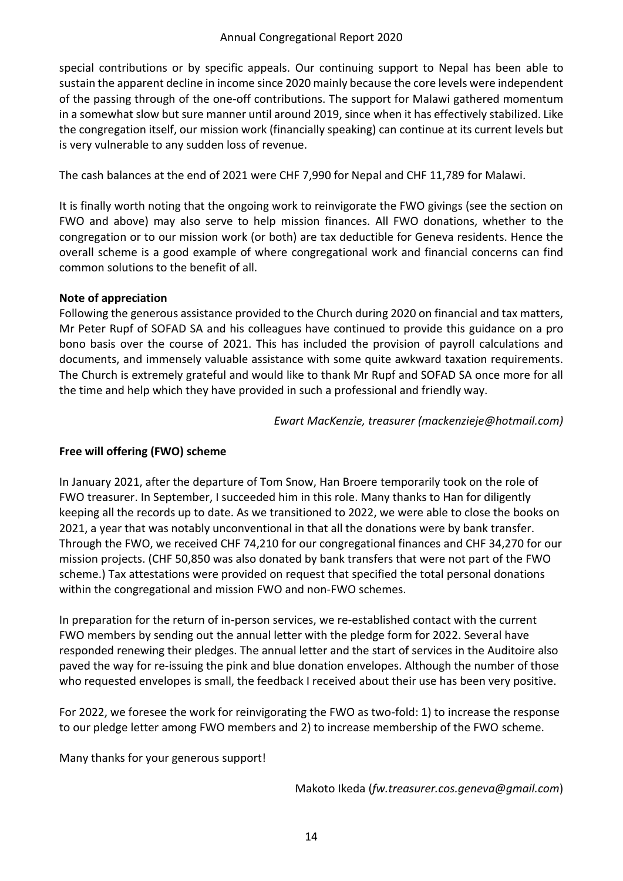special contributions or by specific appeals. Our continuing support to Nepal has been able to sustain the apparent decline in income since 2020 mainly because the core levels were independent of the passing through of the one-off contributions. The support for Malawi gathered momentum in a somewhat slow but sure manner until around 2019, since when it has effectively stabilized. Like the congregation itself, our mission work (financially speaking) can continue at its current levels but is very vulnerable to any sudden loss of revenue.

The cash balances at the end of 2021 were CHF 7,990 for Nepal and CHF 11,789 for Malawi.

It is finally worth noting that the ongoing work to reinvigorate the FWO givings (see the section on FWO and above) may also serve to help mission finances. All FWO donations, whether to the congregation or to our mission work (or both) are tax deductible for Geneva residents. Hence the overall scheme is a good example of where congregational work and financial concerns can find common solutions to the benefit of all.

#### **Note of appreciation**

Following the generous assistance provided to the Church during 2020 on financial and tax matters, Mr Peter Rupf of SOFAD SA and his colleagues have continued to provide this guidance on a pro bono basis over the course of 2021. This has included the provision of payroll calculations and documents, and immensely valuable assistance with some quite awkward taxation requirements. The Church is extremely grateful and would like to thank Mr Rupf and SOFAD SA once more for all the time and help which they have provided in such a professional and friendly way.

*Ewart MacKenzie, treasurer (mackenzieje@hotmail.com)*

# **Free will offering (FWO) scheme**

In January 2021, after the departure of Tom Snow, Han Broere temporarily took on the role of FWO treasurer. In September, I succeeded him in this role. Many thanks to Han for diligently keeping all the records up to date. As we transitioned to 2022, we were able to close the books on 2021, a year that was notably unconventional in that all the donations were by bank transfer. Through the FWO, we received CHF 74,210 for our congregational finances and CHF 34,270 for our mission projects. (CHF 50,850 was also donated by bank transfers that were not part of the FWO scheme.) Tax attestations were provided on request that specified the total personal donations within the congregational and mission FWO and non-FWO schemes.

In preparation for the return of in-person services, we re-established contact with the current FWO members by sending out the annual letter with the pledge form for 2022. Several have responded renewing their pledges. The annual letter and the start of services in the Auditoire also paved the way for re-issuing the pink and blue donation envelopes. Although the number of those who requested envelopes is small, the feedback I received about their use has been very positive.

For 2022, we foresee the work for reinvigorating the FWO as two-fold: 1) to increase the response to our pledge letter among FWO members and 2) to increase membership of the FWO scheme.

Many thanks for your generous support!

Makoto Ikeda (*fw.treasurer.cos.geneva@gmail.com*)